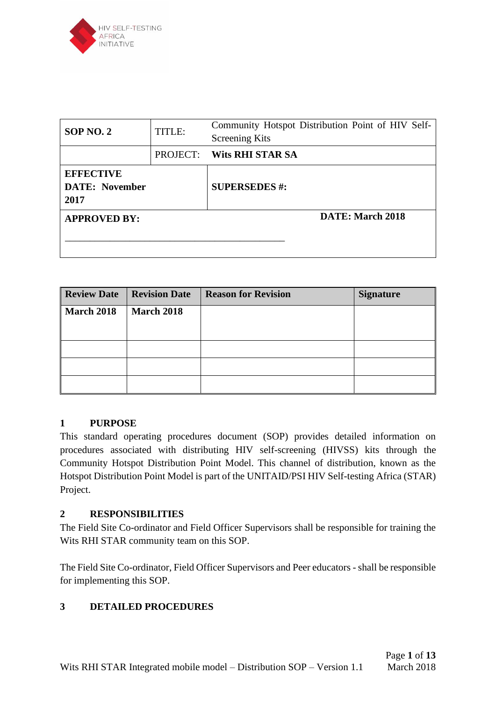

| <b>SOP NO. 2</b>                                  | TITLE:   | Community Hotspot Distribution Point of HIV Self-<br><b>Screening Kits</b> |
|---------------------------------------------------|----------|----------------------------------------------------------------------------|
|                                                   | PROJECT: | Wits RHI STAR SA                                                           |
| <b>EFFECTIVE</b><br><b>DATE: November</b><br>2017 |          | <b>SUPERSEDES #:</b>                                                       |
| <b>APPROVED BY:</b>                               |          | DATE: March 2018                                                           |

| <b>Review Date</b> | <b>Revision Date</b> | <b>Reason for Revision</b> | <b>Signature</b> |
|--------------------|----------------------|----------------------------|------------------|
| <b>March 2018</b>  | <b>March 2018</b>    |                            |                  |
|                    |                      |                            |                  |
|                    |                      |                            |                  |
|                    |                      |                            |                  |
|                    |                      |                            |                  |

## **1 PURPOSE**

This standard operating procedures document (SOP) provides detailed information on procedures associated with distributing HIV self-screening (HIVSS) kits through the Community Hotspot Distribution Point Model. This channel of distribution, known as the Hotspot Distribution Point Model is part of the UNITAID/PSI HIV Self-testing Africa (STAR) Project.

## **2 RESPONSIBILITIES**

The Field Site Co-ordinator and Field Officer Supervisors shall be responsible for training the Wits RHI STAR community team on this SOP.

The Field Site Co-ordinator, Field Officer Supervisors and Peer educators - shall be responsible for implementing this SOP.

## **3 DETAILED PROCEDURES**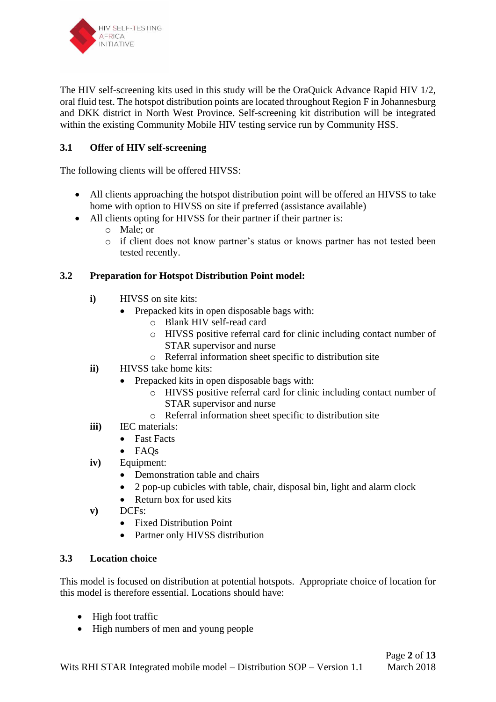

The HIV self-screening kits used in this study will be the OraQuick Advance Rapid HIV 1/2, oral fluid test. The hotspot distribution points are located throughout Region F in Johannesburg and DKK district in North West Province. Self-screening kit distribution will be integrated within the existing Community Mobile HIV testing service run by Community HSS.

# **3.1 Offer of HIV self-screening**

The following clients will be offered HIVSS:

- All clients approaching the hotspot distribution point will be offered an HIVSS to take home with option to HIVSS on site if preferred (assistance available)
- All clients opting for HIVSS for their partner if their partner is:
	- o Male; or
	- o if client does not know partner's status or knows partner has not tested been tested recently.

#### **3.2 Preparation for Hotspot Distribution Point model:**

- **i**) HIVSS on site kits:
	- Prepacked kits in open disposable bags with:
		- o Blank HIV self-read card
		- o HIVSS positive referral card for clinic including contact number of STAR supervisor and nurse
		- o Referral information sheet specific to distribution site
- **ii)** HIVSS take home kits:
	- Prepacked kits in open disposable bags with:
		- o HIVSS positive referral card for clinic including contact number of STAR supervisor and nurse
		- o Referral information sheet specific to distribution site
- **iii)** IEC materials:
	- Fast Facts
	- FAQs
- **iv)** Equipment:
	- Demonstration table and chairs
	- 2 pop-up cubicles with table, chair, disposal bin, light and alarm clock
	- Return box for used kits
- **v)** DCFs:
	- Fixed Distribution Point
	- Partner only HIVSS distribution

#### **3.3 Location choice**

This model is focused on distribution at potential hotspots. Appropriate choice of location for this model is therefore essential. Locations should have:

- High foot traffic
- High numbers of men and young people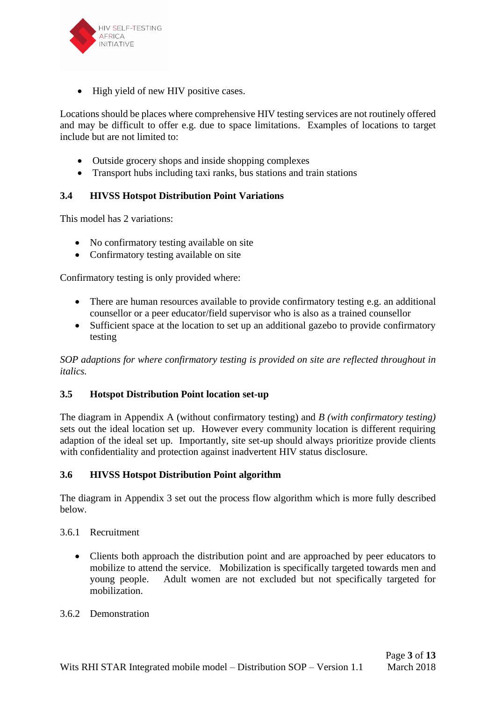

• High yield of new HIV positive cases.

Locations should be places where comprehensive HIV testing services are not routinely offered and may be difficult to offer e.g. due to space limitations. Examples of locations to target include but are not limited to:

- Outside grocery shops and inside shopping complexes
- Transport hubs including taxi ranks, bus stations and train stations

#### **3.4 HIVSS Hotspot Distribution Point Variations**

This model has 2 variations:

- No confirmatory testing available on site
- Confirmatory testing available on site

Confirmatory testing is only provided where:

- There are human resources available to provide confirmatory testing e.g. an additional counsellor or a peer educator/field supervisor who is also as a trained counsellor
- Sufficient space at the location to set up an additional gazebo to provide confirmatory testing

*SOP adaptions for where confirmatory testing is provided on site are reflected throughout in italics.*

#### **3.5 Hotspot Distribution Point location set-up**

The diagram in Appendix A (without confirmatory testing) and *B (with confirmatory testing)*  sets out the ideal location set up. However every community location is different requiring adaption of the ideal set up. Importantly, site set-up should always prioritize provide clients with confidentiality and protection against inadvertent HIV status disclosure.

#### **3.6 HIVSS Hotspot Distribution Point algorithm**

The diagram in Appendix 3 set out the process flow algorithm which is more fully described below.

#### 3.6.1 Recruitment

• Clients both approach the distribution point and are approached by peer educators to mobilize to attend the service. Mobilization is specifically targeted towards men and young people. Adult women are not excluded but not specifically targeted for mobilization.

#### 3.6.2 Demonstration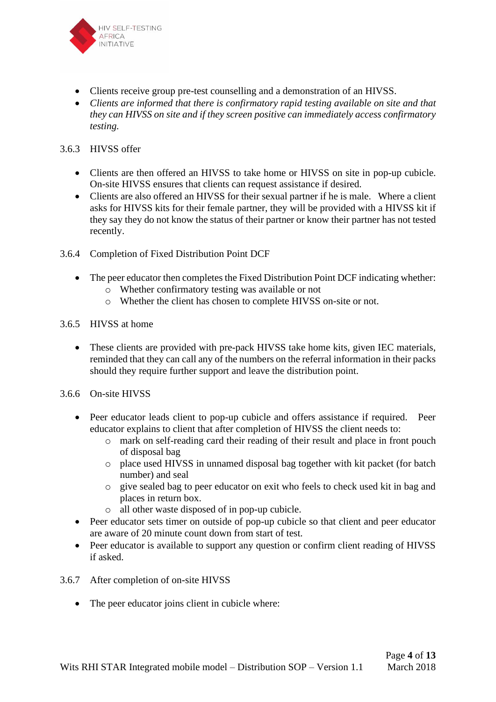

- Clients receive group pre-test counselling and a demonstration of an HIVSS.
- *Clients are informed that there is confirmatory rapid testing available on site and that they can HIVSS on site and if they screen positive can immediately access confirmatory testing.*

#### 3.6.3 HIVSS offer

- Clients are then offered an HIVSS to take home or HIVSS on site in pop-up cubicle. On-site HIVSS ensures that clients can request assistance if desired.
- Clients are also offered an HIVSS for their sexual partner if he is male. Where a client asks for HIVSS kits for their female partner, they will be provided with a HIVSS kit if they say they do not know the status of their partner or know their partner has not tested recently.
- 3.6.4 Completion of Fixed Distribution Point DCF
	- The peer educator then completes the Fixed Distribution Point DCF indicating whether: o Whether confirmatory testing was available or not
		- o Whether the client has chosen to complete HIVSS on-site or not.
- 3.6.5 HIVSS at home
	- These clients are provided with pre-pack HIVSS take home kits, given IEC materials, reminded that they can call any of the numbers on the referral information in their packs should they require further support and leave the distribution point.
- 3.6.6 On-site HIVSS
	- Peer educator leads client to pop-up cubicle and offers assistance if required. Peer educator explains to client that after completion of HIVSS the client needs to:
		- o mark on self-reading card their reading of their result and place in front pouch of disposal bag
		- o place used HIVSS in unnamed disposal bag together with kit packet (for batch number) and seal
		- o give sealed bag to peer educator on exit who feels to check used kit in bag and places in return box.
		- o all other waste disposed of in pop-up cubicle.
	- Peer educator sets timer on outside of pop-up cubicle so that client and peer educator are aware of 20 minute count down from start of test.
	- Peer educator is available to support any question or confirm client reading of HIVSS if asked.
- 3.6.7 After completion of on-site HIVSS
	- The peer educator joins client in cubicle where: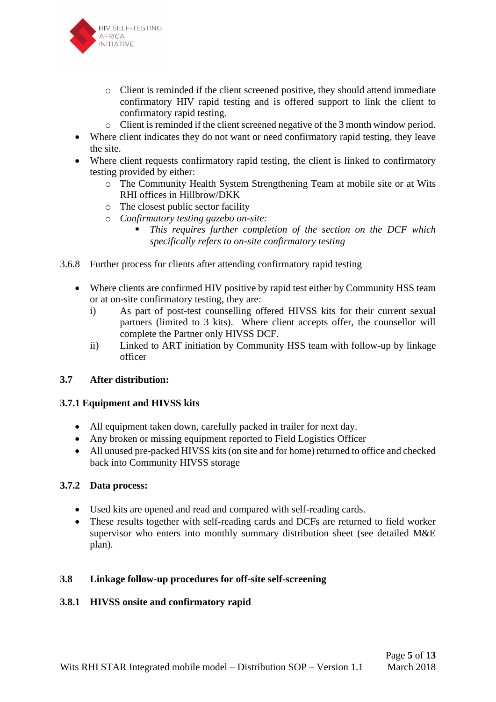

- o Client is reminded if the client screened positive, they should attend immediate confirmatory HIV rapid testing and is offered support to link the client to confirmatory rapid testing.
- o Client is reminded if the client screened negative of the 3 month window period.
- Where client indicates they do not want or need confirmatory rapid testing, they leave the site.
- Where client requests confirmatory rapid testing, the client is linked to confirmatory testing provided by either:
	- o The Community Health System Strengthening Team at mobile site or at Wits RHI offices in Hillbrow/DKK
	- o The closest public sector facility
	- o *Confirmatory testing gazebo on-site:* 
		- This requires further completion of the section on the DCF which *specifically refers to on-site confirmatory testing*
- 3.6.8 Further process for clients after attending confirmatory rapid testing
	- Where clients are confirmed HIV positive by rapid test either by Community HSS team or at on-site confirmatory testing, they are:
		- i) As part of post-test counselling offered HIVSS kits for their current sexual partners (limited to 3 kits). Where client accepts offer, the counsellor will complete the Partner only HIVSS DCF.
		- ii) Linked to ART initiation by Community HSS team with follow-up by linkage officer

## **3.7 After distribution:**

## **3.7.1 Equipment and HIVSS kits**

- All equipment taken down, carefully packed in trailer for next day.
- Any broken or missing equipment reported to Field Logistics Officer
- All unused pre-packed HIVSS kits (on site and for home) returned to office and checked back into Community HIVSS storage

#### **3.7.2 Data process:**

- Used kits are opened and read and compared with self-reading cards.
- These results together with self-reading cards and DCFs are returned to field worker supervisor who enters into monthly summary distribution sheet (see detailed M&E plan).

#### **3.8 Linkage follow-up procedures for off-site self-screening**

## **3.8.1 HIVSS onsite and confirmatory rapid**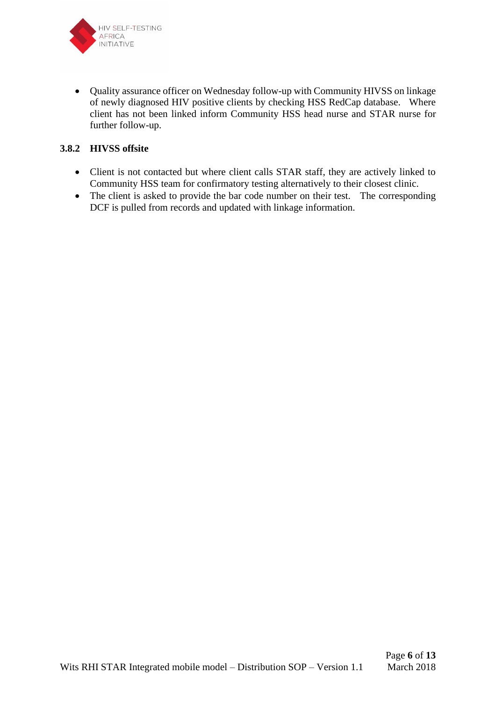

• Quality assurance officer on Wednesday follow-up with Community HIVSS on linkage of newly diagnosed HIV positive clients by checking HSS RedCap database. Where client has not been linked inform Community HSS head nurse and STAR nurse for further follow-up.

## **3.8.2 HIVSS offsite**

- Client is not contacted but where client calls STAR staff, they are actively linked to Community HSS team for confirmatory testing alternatively to their closest clinic.
- The client is asked to provide the bar code number on their test. The corresponding DCF is pulled from records and updated with linkage information.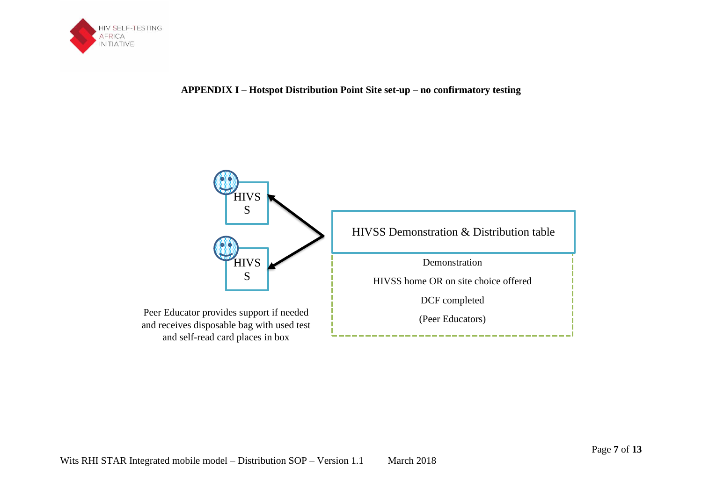

## **APPENDIX I – Hotspot Distribution Point Site set-up – no confirmatory testing**

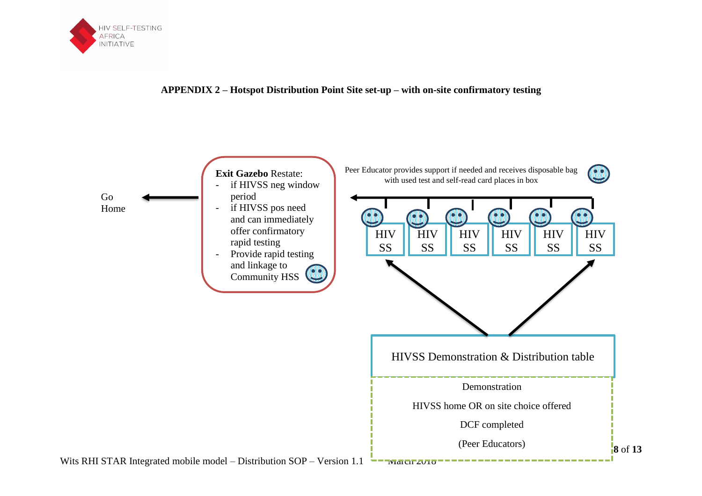

#### **APPENDIX 2 – Hotspot Distribution Point Site set-up – with on-site confirmatory testing**

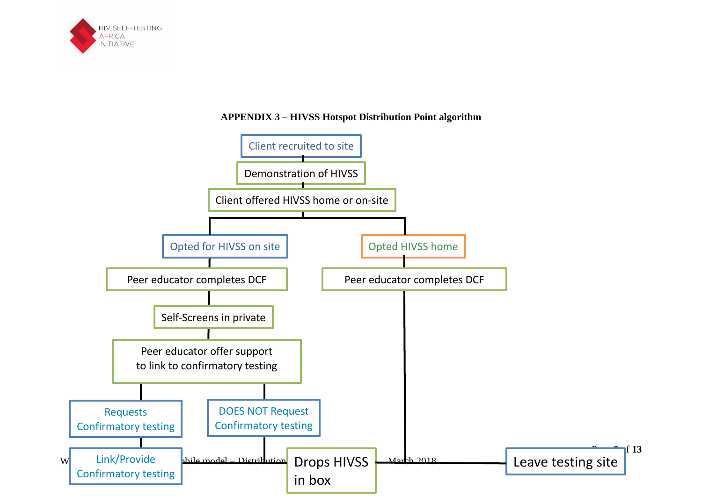

# **APPENDIX 3 – HIVSS Hotspot Distribution Point algorithm**

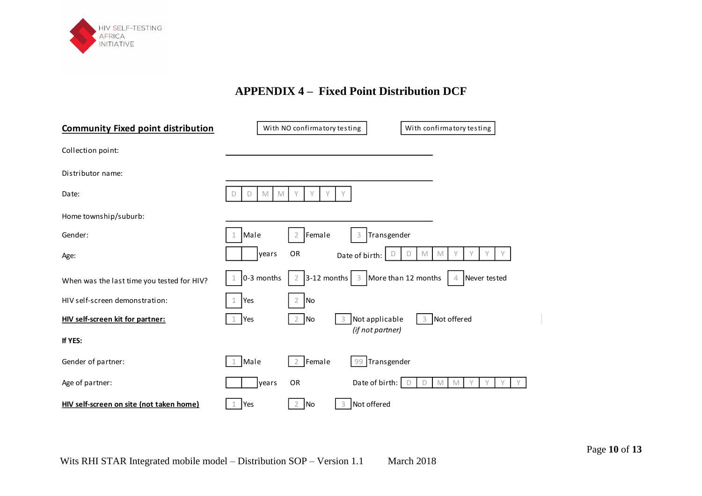

# **APPENDIX 4 – Fixed Point Distribution DCF**

| <b>Community Fixed point distribution</b>  |                  | With NO confirmatory testing        |                          | With confirmatory testing       |
|--------------------------------------------|------------------|-------------------------------------|--------------------------|---------------------------------|
| Collection point:                          |                  |                                     |                          |                                 |
| Distributor name:                          |                  |                                     |                          |                                 |
| Date:                                      | M<br>D<br>D<br>M | V<br>γ<br>V                         |                          |                                 |
| Home township/suburb:                      |                  |                                     |                          |                                 |
| Gender:                                    | Male<br>1        | Female<br>$\overline{2}$            | Transgender<br>3         |                                 |
| Age:                                       | years            | OR                                  | D<br>Date of birth:<br>D | Y<br>Υ<br>$M_{\odot}$<br>M<br>Υ |
| When was the last time you tested for HIV? | 0-3 months       | $3-12$ months $3$<br>$\overline{2}$ | More than 12 months      | Never tested<br>4               |
| HIV self-screen demonstration:             | Yes              | <b>No</b><br>$\overline{2}$         |                          |                                 |
| HIV self-screen kit for partner:           | Yes              | No<br>2                             | Not applicable           | Not offered<br>3                |
| If YES:                                    |                  |                                     | (if not partner)         |                                 |
| Gender of partner:                         | Male             | Female<br>2                         | 99 Transgender           |                                 |
| Age of partner:                            | years            | OR                                  | Date of birth:<br>D      | M<br>M<br>D                     |
| HIV self-screen on site (not taken home)   | Yes              | No<br>2                             | Not offered              |                                 |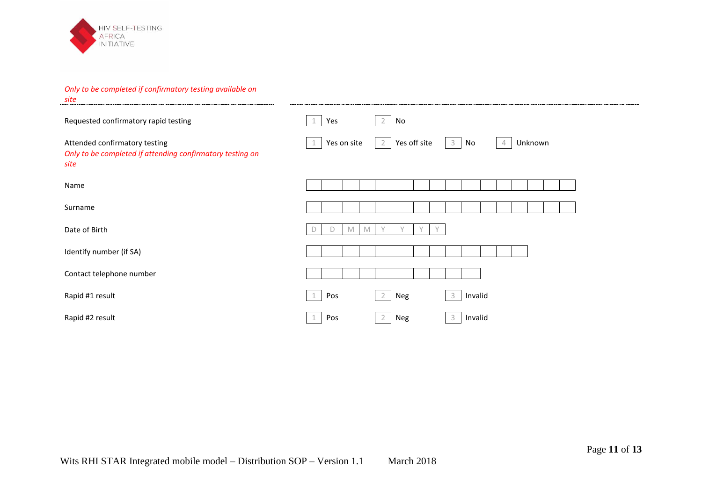

#### *Only to be completed if confirmatory testing available on*

| site                                                                                               |             |   |            |                |                |  |        |         |                |         |  |  |  |
|----------------------------------------------------------------------------------------------------|-------------|---|------------|----------------|----------------|--|--------|---------|----------------|---------|--|--|--|
| Requested confirmatory rapid testing                                                               | Yes         |   |            | $\overline{2}$ | No             |  |        |         |                |         |  |  |  |
| Attended confirmatory testing<br>Only to be completed if attending confirmatory testing on<br>site | Yes on site |   |            |                | 2 Yes off site |  | $3$ No |         | $\overline{4}$ | Unknown |  |  |  |
| Name                                                                                               |             |   |            |                |                |  |        |         |                |         |  |  |  |
| Surname                                                                                            |             |   |            |                |                |  |        |         |                |         |  |  |  |
| Date of Birth                                                                                      |             | M | <b>IVI</b> |                |                |  |        |         |                |         |  |  |  |
| Identify number (if SA)                                                                            |             |   |            |                |                |  |        |         |                |         |  |  |  |
| Contact telephone number                                                                           |             |   |            |                |                |  |        |         |                |         |  |  |  |
| Rapid #1 result                                                                                    | Pos         |   |            |                | Neg            |  |        | Invalid |                |         |  |  |  |
| Rapid #2 result                                                                                    | Pos         |   |            |                | Neg            |  |        | Invalid |                |         |  |  |  |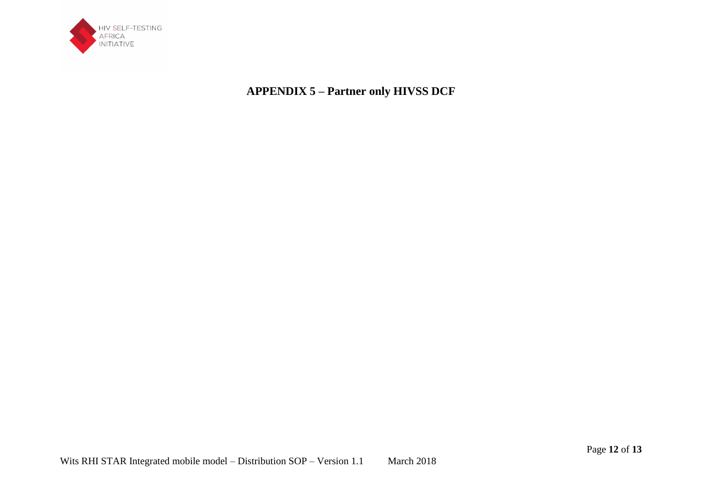

**APPENDIX 5 – Partner only HIVSS DCF**